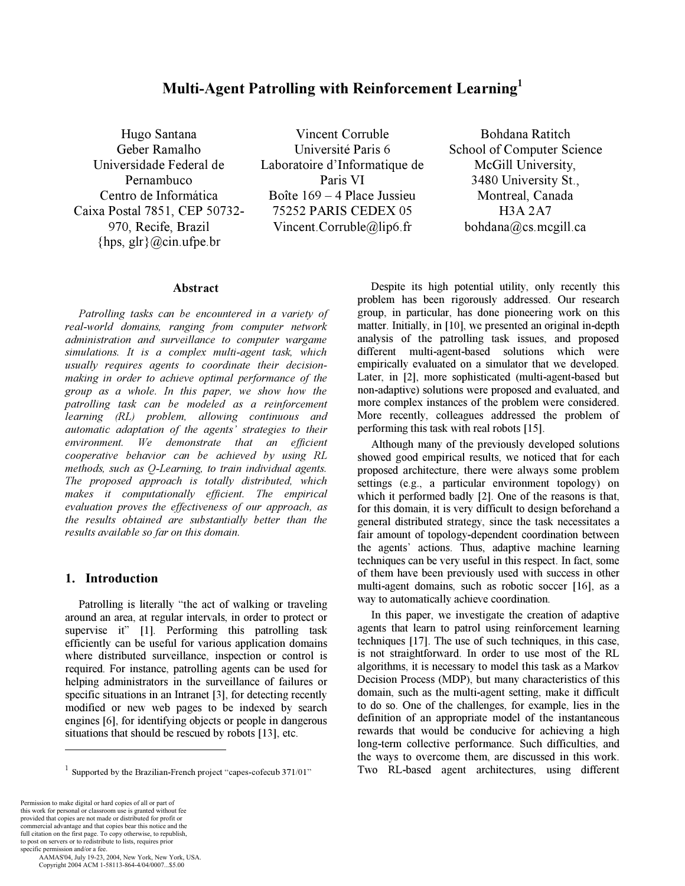### Multi-Agent Patrolling with Reinforcement Learning*<sup>1</sup>*

Hugo Santana Geber Ramalho Universidade Federal de Pernambuco Centro de Informática Caixa Postal 7851, CEP 50732- 970, Recife, Brazil {hps, glr}@cin.ufpe.br

Vincent Corruble Université Paris 6 Laboratoire d'Informatique de Paris VI Boîte 169 – 4 Place Jussieu 75252 PARIS CEDEX 05 Vincent.Corruble@lip6.fr

Bohdana Ratitch School of Computer Science McGill University, 3480 University St., Montreal, Canada H3A 2A7 bohdana@cs.mcgill.ca

#### Abstract

Patrolling tasks can be encountered in a variety of real-world domains, ranging from computer network administration and surveillance to computer wargame simulations. It is a complex multi-agent task, which usually requires agents to coordinate their decisionmaking in order to achieve optimal performance of the group as a whole. In this paper, we show how the patrolling task can be modeled as a reinforcement learning (RL) problem, allowing continuous and automatic adaptation of the agents' strategies to their environment. We demonstrate that an efficient cooperative behavior can be achieved by using RL methods, such as Q-Learning, to train individual agents. The proposed approach is totally distributed, which makes it computationally efficient. The empirical evaluation proves the effectiveness of our approach, as the results obtained are substantially better than the results available so far on this domain.

#### 1. Introduction*<sup>1</sup>*

Patrolling is literally "the act of walking or traveling around an area, at regular intervals, in order to protect or supervise it" [1]. Performing this patrolling task efficiently can be useful for various application domains where distributed surveillance, inspection or control is required. For instance, patrolling agents can be used for helping administrators in the surveillance of failures or specific situations in an Intranet [3], for detecting recently modified or new web pages to be indexed by search engines [6], for identifying objects or people in dangerous situations that should be rescued by robots [13], etc.

-

 AAMAS'04, July 19-23, 2004, New York, New York, USA. Copyright 2004 ACM 1-58113-864-4/04/0007...\$5.00

Despite its high potential utility, only recently this problem has been rigorously addressed. Our research group, in particular, has done pioneering work on this matter. Initially, in [10], we presented an original in-depth analysis of the patrolling task issues, and proposed different multi-agent-based solutions which were empirically evaluated on a simulator that we developed. Later, in [2], more sophisticated (multi-agent-based but non-adaptive) solutions were proposed and evaluated, and more complex instances of the problem were considered. More recently, colleagues addressed the problem of performing this task with real robots [15].

Although many of the previously developed solutions showed good empirical results, we noticed that for each proposed architecture, there were always some problem settings (e.g., a particular environment topology) on which it performed badly [2]. One of the reasons is that, for this domain, it is very difficult to design beforehand a general distributed strategy, since the task necessitates a fair amount of topology-dependent coordination between the agents' actions. Thus, adaptive machine learning techniques can be very useful in this respect. In fact, some of them have been previously used with success in other multi-agent domains, such as robotic soccer [16], as a way to automatically achieve coordination.

In this paper, we investigate the creation of adaptive agents that learn to patrol using reinforcement learning techniques [17]. The use of such techniques, in this case, is not straightforward. In order to use most of the RL algorithms, it is necessary to model this task as a Markov Decision Process (MDP), but many characteristics of this domain, such as the multi-agent setting, make it difficult to do so. One of the challenges, for example, lies in the definition of an appropriate model of the instantaneous rewards that would be conducive for achieving a high long-term collective performance. Such difficulties, and the ways to overcome them, are discussed in this work. Two RL-based agent architectures, using different

<sup>&</sup>lt;sup>1</sup> Supported by the Brazilian-French project "capes-cofecub 371/01"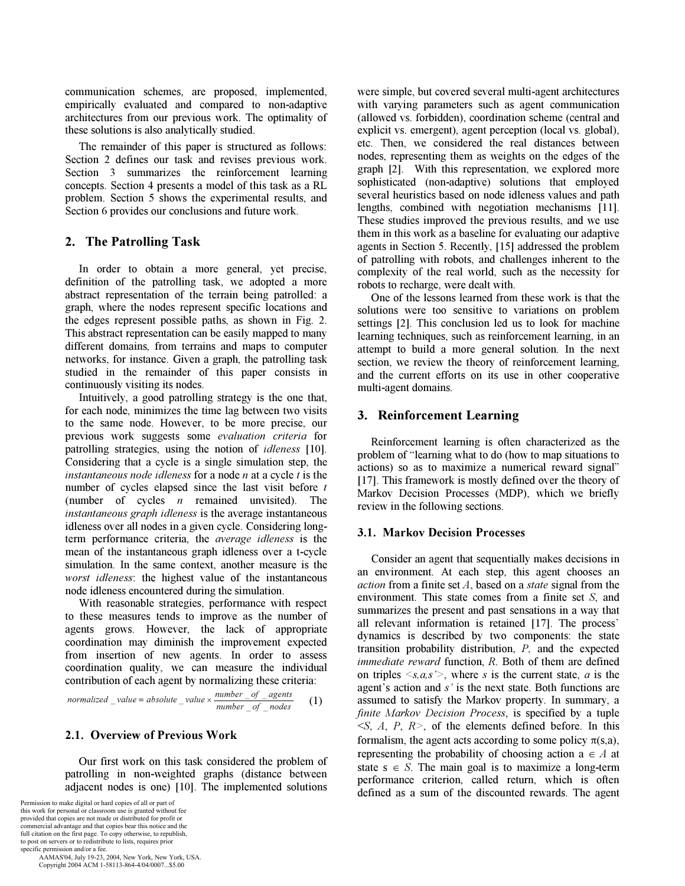communication schemes, are proposed, implemented, empirically evaluated and compared to non-adaptive architectures from our previous work. The optimality of these solutions is also analytically studied.

The remainder of this paper is structured as follows: Section 2 defines our task and revises previous work. Section 3 summarizes the reinforcement learning concepts. Section 4 presents a model of this task as a RL problem. Section 5 shows the experimental results, and Section 6 provides our conclusions and future work.

# 2. The Patrolling Task

In order to obtain a more general, yet precise, definition of the patrolling task, we adopted a more abstract representation of the terrain being patrolled: a graph, where the nodes represent specific locations and the edges represent possible paths, as shown in Fig. 2. This abstract representation can be easily mapped to many different domains, from terrains and maps to computer networks, for instance. Given a graph, the patrolling task studied in the remainder of this paper consists in continuously visiting its nodes.

Intuitively, a good patrolling strategy is the one that, for each node, minimizes the time lag between two visits to the same node. However, to be more precise, our previous work suggests some evaluation criteria for patrolling strategies, using the notion of idleness [10]. Considering that a cycle is a single simulation step, the instantaneous node idleness for a node  $n$  at a cycle  $t$  is the number of cycles elapsed since the last visit before  $t$ (number of cycles  $n$  remained unvisited). The instantaneous graph idleness is the average instantaneous idleness over all nodes in a given cycle. Considering longterm performance criteria, the average idleness is the mean of the instantaneous graph idleness over a t-cycle simulation. In the same context, another measure is the worst idleness: the highest value of the instantaneous node idleness encountered during the simulation.

With reasonable strategies, performance with respect to these measures tends to improve as the number of agents grows. However, the lack of appropriate coordination may diminish the improvement expected from insertion of new agents. In order to assess coordination quality, we can measure the individual contribution of each agent by normalizing these criteria:

 $number$  of nodes normalized \_value = absolute \_value ×  $\frac{number\_of\_agents}{number\_of\_nodes}$  (1)<br> **2.1. Overview of Previous Work**<br>
Our first work on this task considered the problem of

## 2.1. Overview of Previous Work

\_\_ Our first work on this task considered the problem of patrolling in non-weighted graphs (distance between adjacent nodes is one) [10]. The implemented solutions

Permission to make digital or hard copies of all or part of this work for personal or classroom use is granted without fee provided that copies are not made or distributed for profit or commercial advantage and that copies bear this notice and the full citation on the first page. To copy otherwise, to republish, to post on servers or to redistribute to lists, requires prior specific permission and/or a fee.

 AAMAS'04, July 19-23, 2004, New York, New York, USA. Copyright 2004 ACM 1-58113-864-4/04/0007...\$5.00

were simple, but covered several multi-agent architectures with varying parameters such as agent communication (allowed vs. forbidden), coordination scheme (central and explicit vs. emergent), agent perception (local vs. global), etc. Then, we considered the real distances between nodes, representing them as weights on the edges of the graph [2]. With this representation, we explored more sophisticated (non-adaptive) solutions that employed several heuristics based on node idleness values and path lengths, combined with negotiation mechanisms [11]. These studies improved the previous results, and we use them in this work as a baseline for evaluating our adaptive agents in Section 5. Recently, [15] addressed the problem of patrolling with robots, and challenges inherent to the complexity of the real world, such as the necessity for robots to recharge, were dealt with.

One of the lessons learned from these work is that the solutions were too sensitive to variations on problem settings [2]. This conclusion led us to look for machine learning techniques, such as reinforcement learning, in an attempt to build a more general solution. In the next section, we review the theory of reinforcement learning, and the current efforts on its use in other cooperative multi-agent domains.

# 3. Reinforcement Learning

Reinforcement learning is often characterized as the problem of "learning what to do (how to map situations to actions) so as to maximize a numerical reward signal" [17]. This framework is mostly defined over the theory of Markov Decision Processes (MDP), which we briefly review in the following sections.

## 3.1. Markov Decision Processes

Consider an agent that sequentially makes decisions in an environment. At each step, this agent chooses an *action* from a finite set  $A$ , based on a *state* signal from the environment. This state comes from a finite set S, and summarizes the present and past sensations in a way that all relevant information is retained [17]. The process' dynamics is described by two components: the state transition probability distribution, P, and the expected immediate reward function, R. Both of them are defined on triples  $\leq s, a, s'$ , where s is the current state, a is the agent's action and s' is the next state. Both functions are assumed to satisfy the Markov property. In summary, a finite Markov Decision Process, is specified by a tuple  $\leq S$ , A, P, R $\geq$ , of the elements defined before. In this formalism, the agent acts according to some policy  $\pi(s,a)$ , representing the probability of choosing action  $a \in A$  at state s  $\in S$ . The main goal is to maximize a long-term performance criterion, called return, which is often defined as a sum of the discounted rewards. The agent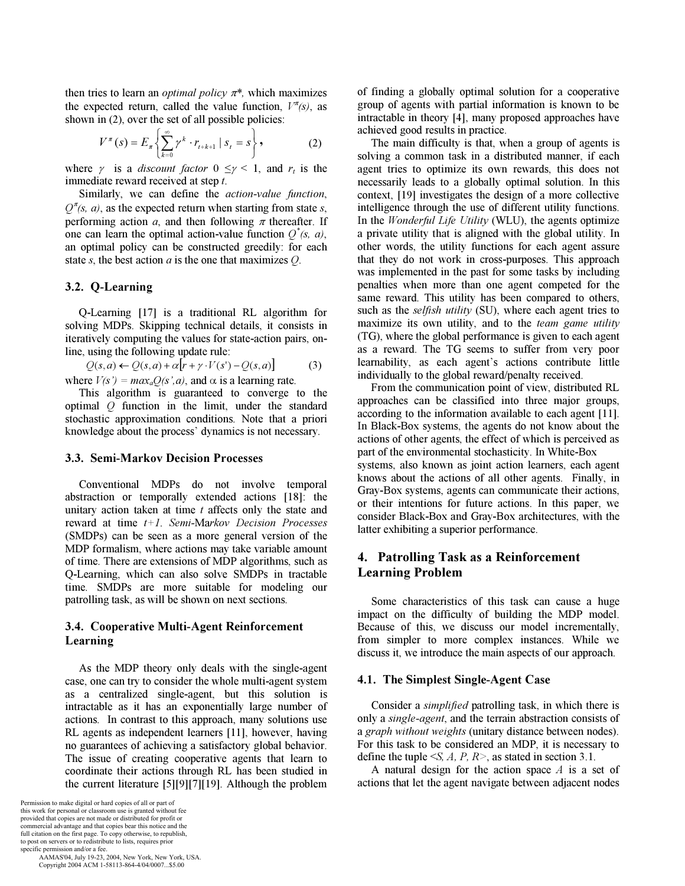then tries to learn an *optimal policy*  $\pi^*$ , which maximizes the expected return, called the value function,  $V^{\pi}(s)$ , as shown in (2), over the set of all possible policies:

$$
V^{\pi}(s) = E_{\pi} \left\{ \sum_{k=0}^{\infty} \gamma^{k} \cdot r_{t+k+1} \mid s_{t} = s \right\},
$$
 (2)

where  $\gamma$  is a *discount factor*  $0 \leq \gamma \leq 1$ , and  $r_t$  is the immediate reward received at step t.

Similarly, we can define the action-value function,  $Q^{\pi}(s, a)$ , as the expected return when starting from state s, performing action a, and then following  $\pi$  thereafter. If one can learn the optimal action-value function  $Q^*(s, a)$ , an optimal policy can be constructed greedily: for each state s, the best action  $a$  is the one that maximizes  $O$ .

#### 3.2. Q-Learning

Q-Learning [17] is a traditional RL algorithm for solving MDPs. Skipping technical details, it consists in iteratively computing the values for state-action pairs, online, using the following update rule:

 $Q(s,a) \leftarrow Q(s,a) + \alpha[r+\gamma \cdot V(s') - Q(s,a)]$  (3) where  $V(s') = max_a Q(s', a)$ , and  $\alpha$  is a learning rate.

This algorithm is guaranteed to converge to the optimal Q function in the limit, under the standard stochastic approximation conditions. Note that a priori knowledge about the process' dynamics is not necessary.

#### **3.3. Semi-Markov Decision Processes** 3.3. Semi-Markov Decision Processes

Conventional MDPs do not involve temporal abstraction or temporally extended actions [18]: the unitary action taken at time  $t$  affects only the state and reward at time  $t+1$ . Semi-Markov Decision Processes (SMDPs) can be seen as a more general version of the MDP formalism, where actions may take variable amount of time. There are extensions of MDP algorithms, such as Q-Learning, which can also solve SMDPs in tractable time. SMDPs are more suitable for modeling our patrolling task, as will be shown on next sections.

### 3.4. Cooperative Multi-Agent Reinforcement Learning

As the MDP theory only deals with the single-agent case, one can try to consider the whole multi-agent system as a centralized single-agent, but this solution is intractable as it has an exponentially large number of actions. In contrast to this approach, many solutions use RL agents as independent learners [11], however, having no guarantees of achieving a satisfactory global behavior. The issue of creating cooperative agents that learn to coordinate their actions through RL has been studied in the current literature [5][9][7][19]. Although the problem

Permission to make digital or hard copies of all or part of this work for personal or classroom use is granted without fee provided that copies are not made or distributed for profit or commercial advantage and that copies bear this notice and the full citation on the first page. To copy otherwise, to republish, to post on servers or to redistribute to lists, requires prior specific permission and/or a fee.

 AAMAS'04, July 19-23, 2004, New York, New York, USA. Copyright 2004 ACM 1-58113-864-4/04/0007...\$5.00

of finding a globally optimal solution for a cooperative group of agents with partial information is known to be intractable in theory [4], many proposed approaches have achieved good results in practice.

The main difficulty is that, when a group of agents is solving a common task in a distributed manner, if each agent tries to optimize its own rewards, this does not necessarily leads to a globally optimal solution. In this context, [19] investigates the design of a more collective intelligence through the use of different utility functions. In the *Wonderful Life Utility* (WLU), the agents optimize a private utility that is aligned with the global utility. In other words, the utility functions for each agent assure that they do not work in cross-purposes. This approach was implemented in the past for some tasks by including penalties when more than one agent competed for the same reward. This utility has been compared to others, such as the *selfish utility* (SU), where each agent tries to maximize its own utility, and to the *team game utility* (TG), where the global performance is given to each agent as a reward. The TG seems to suffer from very poor learnability, as each agent's actions contribute little individually to the global reward/penalty received.

From the communication point of view, distributed RL approaches can be classified into three major groups, according to the information available to each agent [11]. In Black-Box systems, the agents do not know about the actions of other agents, the effect of which is perceived as part of the environmental stochasticity. In White-Box systems, also known as joint action learners, each agent knows about the actions of all other agents. Finally, in Gray-Box systems, agents can communicate their actions, or their intentions for future actions. In this paper, we consider Black-Box and Gray-Box architectures, with the latter exhibiting a superior performance.

## 4. Patrolling Passe as a Premise coment.<br>Learning Problem Learning Problem

Some characteristics of this task can cause a huge impact on the difficulty of building the MDP model. Because of this, we discuss our model incrementally, from simpler to more complex instances. While we discuss it, we introduce the main aspects of our approach.

#### 4.1. The Simplest Single-Agent Case

Consider a simplified patrolling task, in which there is only a single-agent, and the terrain abstraction consists of a graph without weights (unitary distance between nodes). For this task to be considered an MDP, it is necessary to define the tuple  $\leq S$ , A, P, R $>$ , as stated in section 3.1.

A natural design for the action space  $A$  is a set of actions that let the agent navigate between adjacent nodes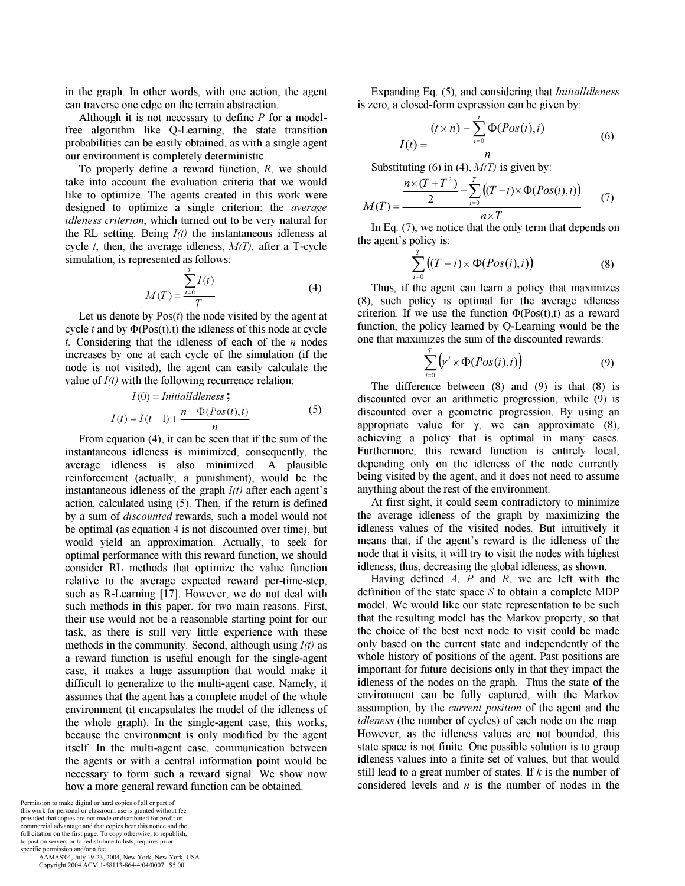in the graph. In other words, with one action, the agent can traverse one edge on the terrain abstraction.

Although it is not necessary to define  $P$  for a modelfree algorithm like Q-Learning, the state transition probabilities can be easily obtained, as with a single agent our environment is completely deterministic.

To properly define a reward function, R, we should take into account the evaluation criteria that we would like to optimize. The agents created in this work were designed to optimize a single criterion: the average idleness criterion, which turned out to be very natural for the RL setting. Being  $I(t)$  the instantaneous idleness at cycle  $t$ , then, the average idleness,  $M(T)$ , after a T-cycle simulation, is represented as follows:

$$
M(T) = \frac{\sum_{t=0}^{T} I(t)}{T}
$$
 (4)

Let us denote by  $Pos(t)$  the node visited by the agent at cycle t and by  $\Phi(\text{Pos}(t),t)$  the idleness of this node at cycle t. Considering that the idleness of each of the  $n$  nodes increases by one at each cycle of the simulation (if the node is not visited), the agent can easily calculate the value of  $I(t)$  with the following recurrence relation:

$$
I(0) = Initial Idleness ;
$$
  
\n
$$
I(t) = I(t-1) + \frac{n - \Phi(Pos(t), t)}{n}
$$
 (5)

From equation (4), it can be seen that if the sum of the instantaneous idleness is minimized, consequently, the average idleness is also minimized. A plausible reinforcement (actually, a punishment), would be the instantaneous idleness of the graph  $I(t)$  after each agent's action, calculated using (5). Then, if the return is defined by a sum of discounted rewards, such a model would not be optimal (as equation 4 is not discounted over time), but would yield an approximation. Actually, to seek for optimal performance with this reward function, we should consider RL methods that optimize the value function relative to the average expected reward per-time-step, such as R-Learning [17]. However, we do not deal with such methods in this paper, for two main reasons. First, their use would not be a reasonable starting point for our task, as there is still very little experience with these methods in the community. Second, although using  $I(t)$  as a reward function is useful enough for the single-agent case, it makes a huge assumption that would make it difficult to generalize to the multi-agent case. Namely, it assumes that the agent has a complete model of the whole environment (it encapsulates the model of the idleness of the whole graph). In the single-agent case, this works, because the environment is only modified by the agent itself. In the multi-agent case, communication between the agents or with a central information point would be necessary to form such a reward signal. We show now how a more general reward function can be obtained.

Permission to make digital or hard copies of all or part of this work for personal or classroom use is granted without fee provided that copies are not made or distributed for profit or commercial advantage and that copies bear this notice and the full citation on the first page. To copy otherwise, to republish, to post on servers or to redistribute to lists, requires prior specific permission and/or a fee.

 AAMAS'04, July 19-23, 2004, New York, New York, USA. Copyright 2004 ACM 1-58113-864-4/04/0007...\$5.00

Expanding Eq. (5), and considering that InitialIdleness is zero, a closed-form expression can be given by:

$$
I(t) = \frac{(t \times n) - \sum_{i=0}^{t} \Phi(Pos(i), i)}{n}
$$
 (6)

Substituting (6) in (4),  $M(T)$  is given by:

$$
M(T) = \frac{\frac{n \times (T + T^2)}{2} - \sum_{i=0}^{T} ((T - i) \times \Phi(Pos(i), i))}{n \times T}
$$
 (7)

In Eq. (7), we notice that the only term that depends on the agent's policy is:

$$
\sum_{i=0}^{T} \big( (T - i) \times \Phi(Pos(i), i) \big) \tag{8}
$$

Thus, if the agent can learn a policy that maximizes (8), such policy is optimal for the average idleness criterion. If we use the function  $\Phi(Pos(t),t)$  as a reward function, the policy learned by Q-Learning would be the one that maximizes the sum of the discounted rewards:

$$
\sum_{i=0}^{T} \left( \gamma^{i} \times \Phi(Pos(i), i) \right) \tag{9}
$$

The difference between (8) and (9) is that (8) is discounted over an arithmetic progression, while (9) is discounted over a geometric progression. By using an appropriate value for  $\gamma$ , we can approximate (8), achieving a policy that is optimal in many cases. Furthermore, this reward function is entirely local, depending only on the idleness of the node currently being visited by the agent, and it does not need to assume anything about the rest of the environment.

At first sight, it could seem contradictory to minimize the average idleness of the graph by maximizing the idleness values of the visited nodes. But intuitively it means that, if the agent's reward is the idleness of the node that it visits, it will try to visit the nodes with highest idleness, thus, decreasing the global idleness, as shown.

Having defined  $A$ ,  $P$  and  $R$ , we are left with the definition of the state space  $S$  to obtain a complete MDP model. We would like our state representation to be such that the resulting model has the Markov property, so that the choice of the best next node to visit could be made only based on the current state and independently of the whole history of positions of the agent. Past positions are important for future decisions only in that they impact the idleness of the nodes on the graph. Thus the state of the environment can be fully captured, with the Markov assumption, by the current position of the agent and the idleness (the number of cycles) of each node on the map. However, as the idleness values are not bounded, this state space is not finite. One possible solution is to group idleness values into a finite set of values, but that would still lead to a great number of states. If  $k$  is the number of considered levels and  $n$  is the number of nodes in the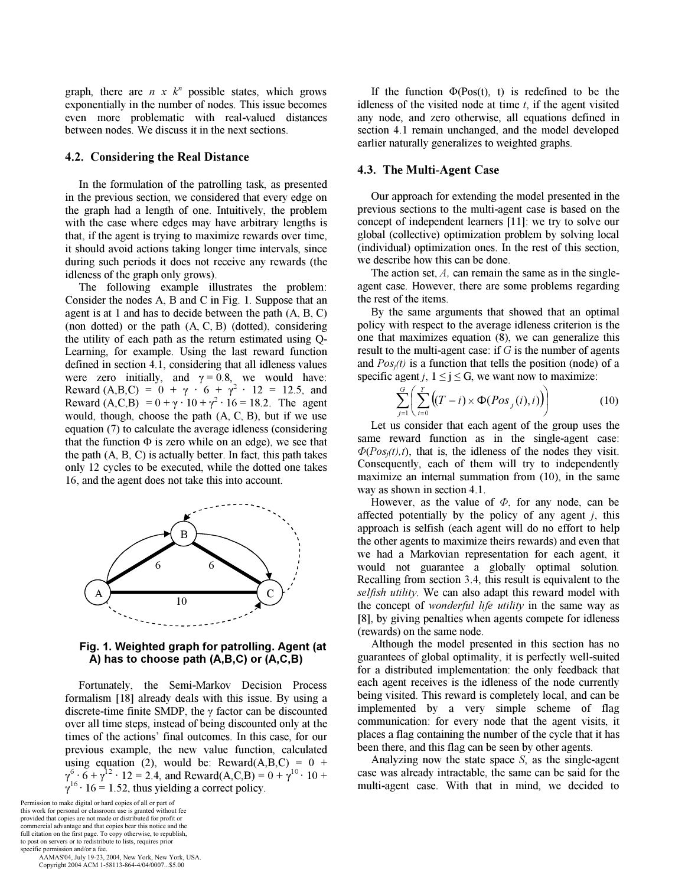graph, there are  $n \times k^n$  possible states, which grows exponentially in the number of nodes. This issue becomes even more problematic with real-valued distances between nodes. We discuss it in the next sections.

#### 4.2. Considering the Real Distance

In the formulation of the patrolling task, as presented in the previous section, we considered that every edge on the graph had a length of one. Intuitively, the problem with the case where edges may have arbitrary lengths is that, if the agent is trying to maximize rewards over time, it should avoid actions taking longer time intervals, since during such periods it does not receive any rewards (the idleness of the graph only grows).

The following example illustrates the problem: Consider the nodes A, B and C in Fig. 1. Suppose that an agent is at 1 and has to decide between the path (A, B, C) (non dotted) or the path (A, C, B) (dotted), considering the utility of each path as the return estimated using Q-Learning, for example. Using the last reward function defined in section 4.1, considering that all idleness values were zero initially, and  $\gamma = 0.8$ , we would have: Reward (A,B,C) =  $0 + \gamma \cdot 6 + \gamma^2 \cdot 12 = 12.5$ , and Reward  $(A, C, B) = 0 + \gamma \cdot 10 + \gamma^2 \cdot 16 = 18.2$ . The agent would, though, choose the path (A, C, B), but if we use equation (7) to calculate the average idleness (considering that the function  $\Phi$  is zero while on an edge), we see that the path (A, B, C) is actually better. In fact, this path takes only 12 cycles to be executed, while the dotted one takes 16, and the agent does not take this into account.



#### Fig. 1. Weighted graph for patrolling. Agent (at A) has to choose path (A,B,C) or (A,C,B)

Fortunately, the Semi-Markov Decision Process formalism [18] already deals with this issue. By using a discrete-time finite SMDP, the γ factor can be discounted over all time steps, instead of being discounted only at the times of the actions' final outcomes. In this case, for our previous example, the new value function, calculated using equation (2), would be: Reward( $A,B,C$ ) = 0 +  $\gamma^6 \cdot 6 + \gamma^{12} \cdot 12 = 2.4$ , and Reward(A,C,B) =  $0 + \gamma^{10} \cdot 10 +$  $\gamma^{16} \cdot 16 = 1.52$ , thus yielding a correct policy.

Permission to make digital or hard copies of all or part of this work for personal or classroom use is granted without fee provided that copies are not made or distributed for profit or commercial advantage and that copies bear this notice and the full citation on the first page. To copy otherwise, to republish, to post on servers or to redistribute to lists, requires prior specific permission and/or a fee.

 AAMAS'04, July 19-23, 2004, New York, New York, USA. Copyright 2004 ACM 1-58113-864-4/04/0007...\$5.00

If the function  $\Phi(Pos(t), t)$  is redefined to be the idleness of the visited node at time  $t$ , if the agent visited any node, and zero otherwise, all equations defined in section 4.1 remain unchanged, and the model developed earlier naturally generalizes to weighted graphs.

#### 4.3. The Multi-Agent Case

Our approach for extending the model presented in the previous sections to the multi-agent case is based on the concept of independent learners [11]: we try to solve our global (collective) optimization problem by solving local (individual) optimization ones. In the rest of this section, we describe how this can be done.

The action set,  $A$ , can remain the same as in the singleagent case. However, there are some problems regarding the rest of the items.

By the same arguments that showed that an optimal policy with respect to the average idleness criterion is the one that maximizes equation (8), we can generalize this result to the multi-agent case: if  $G$  is the number of agents and  $Pos_i(t)$  is a function that tells the position (node) of a specific agent j,  $1 \le j \le G$ , we want now to maximize:

$$
\sum_{j=1}^{G} \left( \sum_{i=0}^{T} \left( (T-i) \times \Phi(Pos_j(i), i) \right) \right) \tag{10}
$$

Let us consider that each agent of the group uses the same reward function as in the single-agent case:  $\Phi(Pos_i(t),t)$ , that is, the idleness of the nodes they visit. Consequently, each of them will try to independently maximize an internal summation from (10), in the same way as shown in section 4.1.

However, as the value of  $\Phi$ , for any node, can be affected potentially by the policy of any agent  $j$ , this approach is selfish (each agent will do no effort to help the other agents to maximize theirs rewards) and even that we had a Markovian representation for each agent, it would not guarantee a globally optimal solution. Recalling from section 3.4, this result is equivalent to the selfish utility. We can also adapt this reward model with the concept of *wonderful life utility* in the same way as [8], by giving penalties when agents compete for idleness (rewards) on the same node.

Although the model presented in this section has no guarantees of global optimality, it is perfectly well-suited for a distributed implementation: the only feedback that each agent receives is the idleness of the node currently being visited. This reward is completely local, and can be implemented by a very simple scheme of flag communication: for every node that the agent visits, it places a flag containing the number of the cycle that it has been there, and this flag can be seen by other agents.

Analyzing now the state space  $S$ , as the single-agent case was already intractable, the same can be said for the multi-agent case. With that in mind, we decided to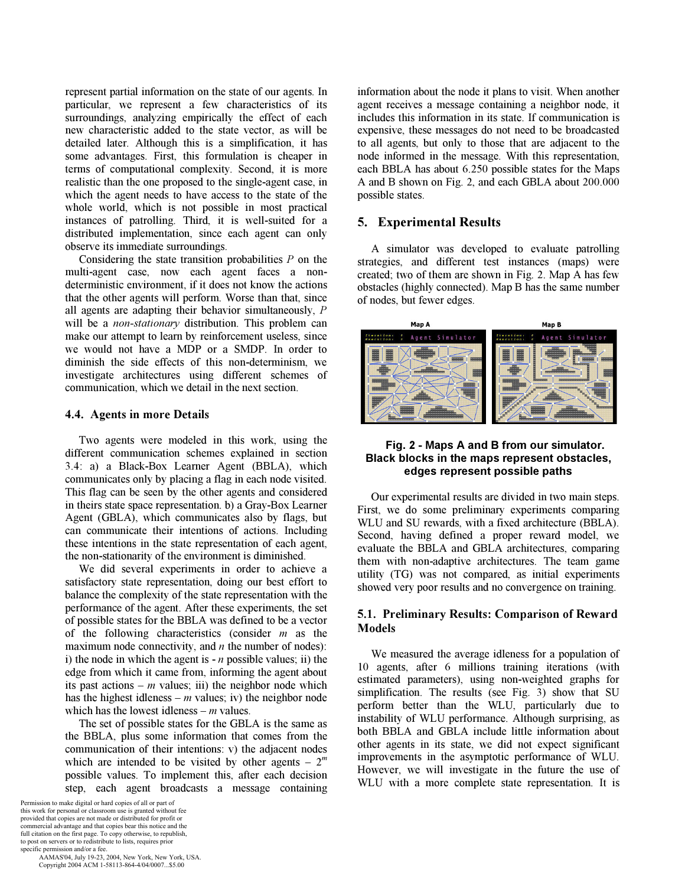represent partial information on the state of our agents. In particular, we represent a few characteristics of its surroundings, analyzing empirically the effect of each new characteristic added to the state vector, as will be detailed later. Although this is a simplification, it has some advantages. First, this formulation is cheaper in terms of computational complexity. Second, it is more realistic than the one proposed to the single-agent case, in which the agent needs to have access to the state of the whole world, which is not possible in most practical instances of patrolling. Third, it is well-suited for a distributed implementation, since each agent can only observe its immediate surroundings.

Considering the state transition probabilities  $P$  on the multi-agent case, now each agent faces a nondeterministic environment, if it does not know the actions that the other agents will perform. Worse than that, since all agents are adapting their behavior simultaneously, P will be a *non-stationary* distribution. This problem can make our attempt to learn by reinforcement useless, since we would not have a MDP or a SMDP. In order to diminish the side effects of this non-determinism, we investigate architectures using different schemes of communication, which we detail in the next section.

#### 4.4. Agents in more Details

Two agents were modeled in this work, using the different communication schemes explained in section 3.4: a) a Black-Box Learner Agent (BBLA), which communicates only by placing a flag in each node visited. This flag can be seen by the other agents and considered in theirs state space representation. b) a Gray-Box Learner Agent (GBLA), which communicates also by flags, but can communicate their intentions of actions. Including these intentions in the state representation of each agent, the non-stationarity of the environment is diminished.

We did several experiments in order to achieve a satisfactory state representation, doing our best effort to balance the complexity of the state representation with the performance of the agent. After these experiments, the set of possible states for the BBLA was defined to be a vector of the following characteristics (consider  $m$  as the maximum node connectivity, and  $n$  the number of nodes): i) the node in which the agent is  $-n$  possible values; ii) the edge from which it came from, informing the agent about its past actions –  $m$  values; iii) the neighbor node which has the highest idleness –  $m$  values; iv) the neighbor node which has the lowest idleness –  $m$  values.

The set of possible states for the GBLA is the same as the BBLA, plus some information that comes from the communication of their intentions: v) the adjacent nodes which are intended to be visited by other agents –  $2^m$ possible values. To implement this, after each decision step, each agent broadcasts a message containing

Permission to make digital or hard copies of all or part of this work for personal or classroom use is granted without fee provided that copies are not made or distributed for profit or commercial advantage and that copies bear this notice and the full citation on the first page. To copy otherwise, to republish, to post on servers or to redistribute to lists, requires prior specific permission and/or a fee.

 AAMAS'04, July 19-23, 2004, New York, New York, USA. Copyright 2004 ACM 1-58113-864-4/04/0007...\$5.00

information about the node it plans to visit. When another agent receives a message containing a neighbor node, it includes this information in its state. If communication is expensive, these messages do not need to be broadcasted to all agents, but only to those that are adjacent to the node informed in the message. With this representation, each BBLA has about 6.250 possible states for the Maps A and B shown on Fig. 2, and each GBLA about 200.000 possible states.

#### 5. Experimental Results

A simulator was developed to evaluate patrolling strategies, and different test instances (maps) were created; two of them are shown in Fig. 2. Map A has few obstacles (highly connected). Map B has the same number of nodes, but fewer edges.



#### Fig. 2 - Maps A and B from our simulator. Black blocks in the maps represent obstacles, edges represent possible paths

Our experimental results are divided in two main steps. First, we do some preliminary experiments comparing WLU and SU rewards, with a fixed architecture (BBLA). Second, having defined a proper reward model, we evaluate the BBLA and GBLA architectures, comparing them with non-adaptive architectures. The team game utility (TG) was not compared, as initial experiments showed very poor results and no convergence on training.

#### 5.1. Preliminary Results: Comparison of Reward Models

We measured the average idleness for a population of 10 agents, after 6 millions training iterations (with estimated parameters), using non-weighted graphs for simplification. The results (see Fig. 3) show that SU perform better than the WLU, particularly due to instability of WLU performance. Although surprising, as both BBLA and GBLA include little information about other agents in its state, we did not expect significant improvements in the asymptotic performance of WLU. However, we will investigate in the future the use of WLU with a more complete state representation. It is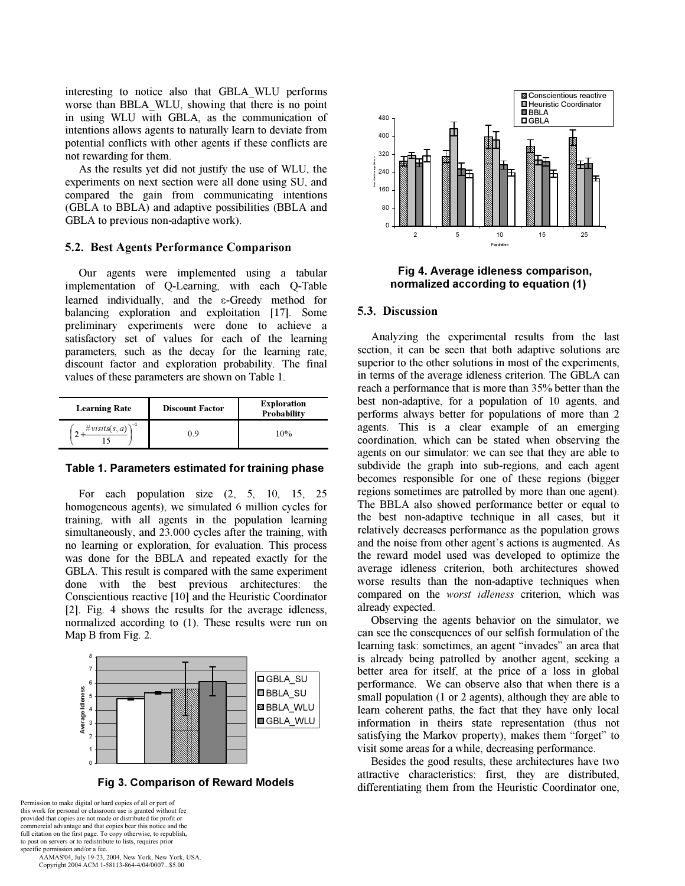interesting to notice also that GBLA\_WLU performs worse than BBLA\_WLU, showing that there is no point in using WLU with GBLA, as the communication of intentions allows agents to naturally learn to deviate from potential conflicts with other agents if these conflicts are not rewarding for them.

As the results yet did not justify the use of WLU, the experiments on next section were all done using SU, and compared the gain from communicating intentions (GBLA to BBLA) and adaptive possibilities (BBLA and GBLA to previous non-adaptive work).

#### 5.2. Best Agents Performance Comparison

Our agents were implemented using a tabular implementation of Q-Learning, with each Q-Table learned individually, and the ε-Greedy method for balancing exploration and exploitation [17]. Some preliminary experiments were done to achieve a satisfactory set of values for each of the learning parameters, such as the decay for the learning rate, discount factor and exploration probability. The final values of these parameters are shown on Table 1.

| <b>Learning Rate</b>       | <b>Discount Factor</b> | <b>Exploration</b><br>Probability |
|----------------------------|------------------------|-----------------------------------|
| #visits(s, a) $\big)^{-1}$ | 9 (                    | 10%                               |

#### Table 1. Parameters estimated for training phase

For each population size (2, 5, 10, 15, 25 homogeneous agents), we simulated 6 million cycles for training, with all agents in the population learning simultaneously, and 23.000 cycles after the training, with no learning or exploration, for evaluation. This process was done for the BBLA and repeated exactly for the GBLA. This result is compared with the same experiment done with the best previous architectures: the Conscientious reactive [10] and the Heuristic Coordinator [2]. Fig. 4 shows the results for the average idleness, normalized according to (1). These results were run on Map B from Fig. 2.



Fig 3. Comparison of Reward Models

Permission to make digital or hard copies of all or part of this work for personal or classroom use is granted without fee provided that copies are not made or distributed for profit or commercial advantage and that copies bear this notice and the full citation on the first page. To copy otherwise, to republish, to post on servers or to redistribute to lists, requires prior specific permission and/or a fee.

 AAMAS'04, July 19-23, 2004, New York, New York, USA. Copyright 2004 ACM 1-58113-864-4/04/0007...\$5.00



Fig 4. Average idleness comparison, normalized according to equation (1)

#### 5.3. Discussion

Analyzing the experimental results from the last section, it can be seen that both adaptive solutions are superior to the other solutions in most of the experiments, in terms of the average idleness criterion. The GBLA can reach a performance that is more than 35% better than the best non-adaptive, for a population of 10 agents, and performs always better for populations of more than 2 agents. This is a clear example of an emerging coordination, which can be stated when observing the agents on our simulator: we can see that they are able to subdivide the graph into sub-regions, and each agent becomes responsible for one of these regions (bigger regions sometimes are patrolled by more than one agent). The BBLA also showed performance better or equal to the best non-adaptive technique in all cases, but it relatively decreases performance as the population grows and the noise from other agent's actions is augmented. As the reward model used was developed to optimize the average idleness criterion, both architectures showed worse results than the non-adaptive techniques when compared on the worst idleness criterion, which was already expected.

Observing the agents behavior on the simulator, we can see the consequences of our selfish formulation of the learning task: sometimes, an agent "invades" an area that is already being patrolled by another agent, seeking a better area for itself, at the price of a loss in global performance. We can observe also that when there is a small population (1 or 2 agents), although they are able to learn coherent paths, the fact that they have only local information in theirs state representation (thus not satisfying the Markov property), makes them "forget" to visit some areas for a while, decreasing performance.

Besides the good results, these architectures have two attractive characteristics: first, they are distributed, differentiating them from the Heuristic Coordinator one,